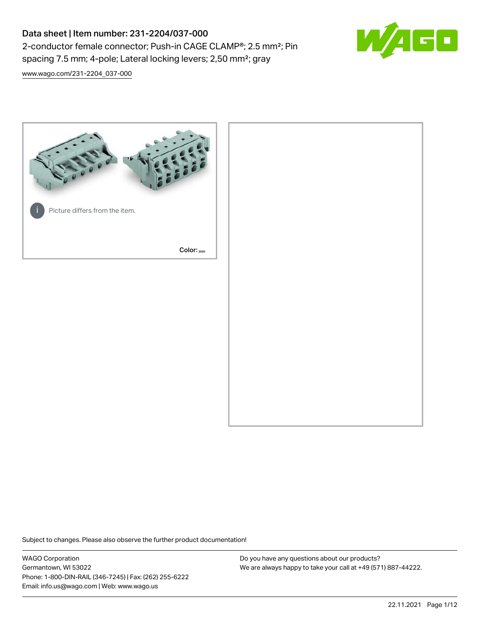# Data sheet | Item number: 231-2204/037-000 2-conductor female connector; Push-in CAGE CLAMP®; 2.5 mm²; Pin spacing 7.5 mm; 4-pole; Lateral locking levers; 2,50 mm²; gray



[www.wago.com/231-2204\\_037-000](http://www.wago.com/231-2204_037-000)



Subject to changes. Please also observe the further product documentation!

WAGO Corporation Germantown, WI 53022 Phone: 1-800-DIN-RAIL (346-7245) | Fax: (262) 255-6222 Email: info.us@wago.com | Web: www.wago.us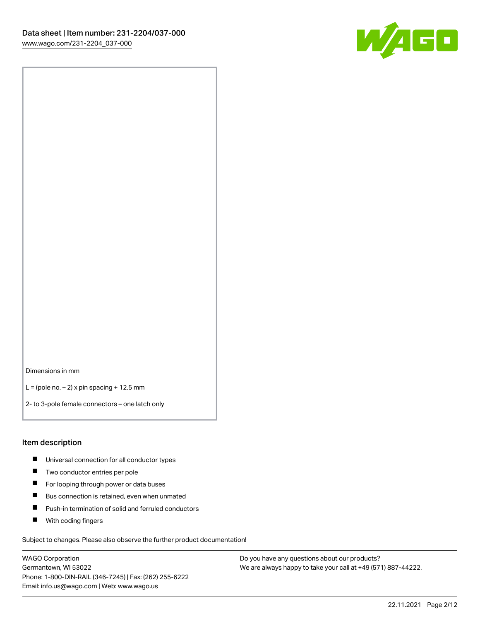

Dimensions in mm

 $L =$  (pole no.  $-2$ ) x pin spacing + 12.5 mm

2- to 3-pole female connectors – one latch only

#### Item description

- **Universal connection for all conductor types**
- **Two conductor entries per pole**
- $\blacksquare$ For looping through power or data buses
- $\blacksquare$ Bus connection is retained, even when unmated
- $\blacksquare$ Push-in termination of solid and ferruled conductors
- $\blacksquare$ With coding fingers

Subject to changes. Please also observe the further product documentation!

WAGO Corporation Germantown, WI 53022 Phone: 1-800-DIN-RAIL (346-7245) | Fax: (262) 255-6222 Email: info.us@wago.com | Web: www.wago.us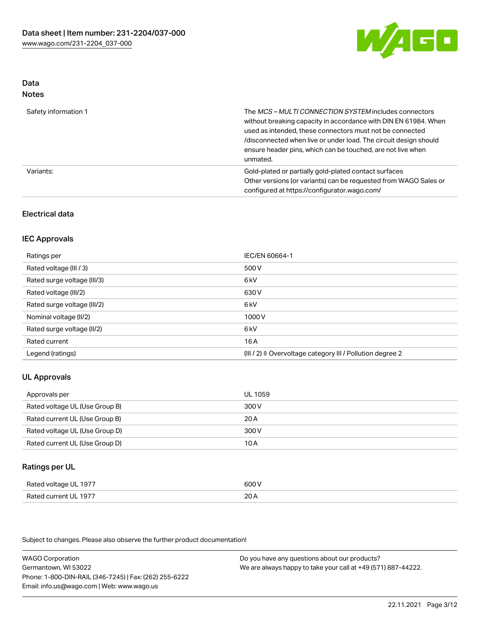

#### Data Notes

| .                    |                                                                                                                                                                                                                                                                                                                                   |
|----------------------|-----------------------------------------------------------------------------------------------------------------------------------------------------------------------------------------------------------------------------------------------------------------------------------------------------------------------------------|
| Safety information 1 | The MCS-MULTI CONNECTION SYSTEM includes connectors<br>without breaking capacity in accordance with DIN EN 61984. When<br>used as intended, these connectors must not be connected<br>/disconnected when live or under load. The circuit design should<br>ensure header pins, which can be touched, are not live when<br>unmated. |
| Variants:            | Gold-plated or partially gold-plated contact surfaces<br>Other versions (or variants) can be requested from WAGO Sales or<br>configured at https://configurator.wago.com/                                                                                                                                                         |

# Electrical data

# IEC Approvals

| Ratings per                 | IEC/EN 60664-1                                                        |
|-----------------------------|-----------------------------------------------------------------------|
| Rated voltage (III / 3)     | 500 V                                                                 |
| Rated surge voltage (III/3) | 6 kV                                                                  |
| Rated voltage (III/2)       | 630 V                                                                 |
| Rated surge voltage (III/2) | 6 <sub>k</sub> V                                                      |
| Nominal voltage (II/2)      | 1000 V                                                                |
| Rated surge voltage (II/2)  | 6 kV                                                                  |
| Rated current               | 16A                                                                   |
| Legend (ratings)            | $(III / 2)$ $\triangle$ Overvoltage category III / Pollution degree 2 |

# UL Approvals

| Approvals per                  | UL 1059 |
|--------------------------------|---------|
| Rated voltage UL (Use Group B) | 300 V   |
| Rated current UL (Use Group B) | 20 A    |
| Rated voltage UL (Use Group D) | 300 V   |
| Rated current UL (Use Group D) | 10 A    |

### Ratings per UL

| Rated voltage UL 1977 | 600 V |
|-----------------------|-------|
| Rated current UL 1977 | 20A   |

Subject to changes. Please also observe the further product documentation!

WAGO Corporation Germantown, WI 53022 Phone: 1-800-DIN-RAIL (346-7245) | Fax: (262) 255-6222 Email: info.us@wago.com | Web: www.wago.us Do you have any questions about our products? We are always happy to take your call at +49 (571) 887-44222.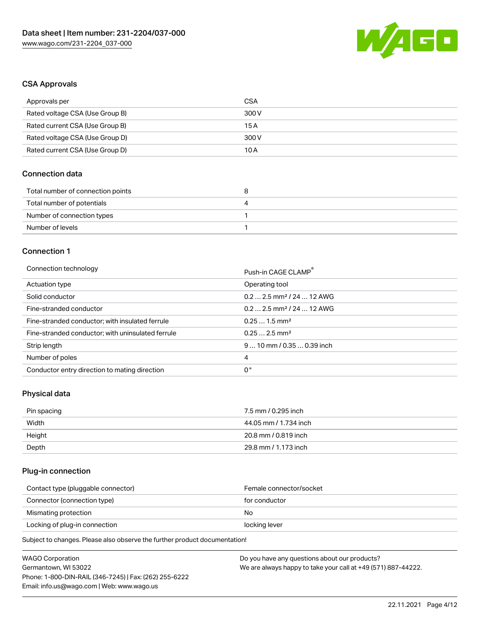

# CSA Approvals

| Approvals per                   | CSA   |
|---------------------------------|-------|
| Rated voltage CSA (Use Group B) | 300 V |
| Rated current CSA (Use Group B) | 15 A  |
| Rated voltage CSA (Use Group D) | 300 V |
| Rated current CSA (Use Group D) | 10 A  |

# Connection data

| Total number of connection points | ວ |
|-----------------------------------|---|
| Total number of potentials        | ப |
| Number of connection types        |   |
| Number of levels                  |   |

# Connection 1

#### Connection technology **Push-in CAGE CLAMP<sup>®</sup>**

| ັ                                                 | Push-in CAGE CLAMP                    |
|---------------------------------------------------|---------------------------------------|
| Actuation type                                    | Operating tool                        |
| Solid conductor                                   | $0.22.5$ mm <sup>2</sup> / 24  12 AWG |
| Fine-stranded conductor                           | $0.22.5$ mm <sup>2</sup> / 24  12 AWG |
| Fine-stranded conductor; with insulated ferrule   | $0.251.5$ mm <sup>2</sup>             |
| Fine-stranded conductor; with uninsulated ferrule | $0.252.5$ mm <sup>2</sup>             |
| Strip length                                      | $910$ mm / 0.35  0.39 inch            |
| Number of poles                                   | 4                                     |
| Conductor entry direction to mating direction     | 0°                                    |

# Physical data

| Pin spacing | 7.5 mm / 0.295 inch   |
|-------------|-----------------------|
| Width       | 44.05 mm / 1.734 inch |
| Height      | 20.8 mm / 0.819 inch  |
| Depth       | 29.8 mm / 1.173 inch  |

# Plug-in connection

| Female connector/socket |
|-------------------------|
| for conductor           |
| No.                     |
| locking lever           |
|                         |

Subject to changes. Please also observe the further product documentation!

| <b>WAGO Corporation</b>                                | Do you have any questions about our products?                 |
|--------------------------------------------------------|---------------------------------------------------------------|
| Germantown, WI 53022                                   | We are always happy to take your call at +49 (571) 887-44222. |
| Phone: 1-800-DIN-RAIL (346-7245)   Fax: (262) 255-6222 |                                                               |
| Email: info.us@wago.com   Web: www.wago.us             |                                                               |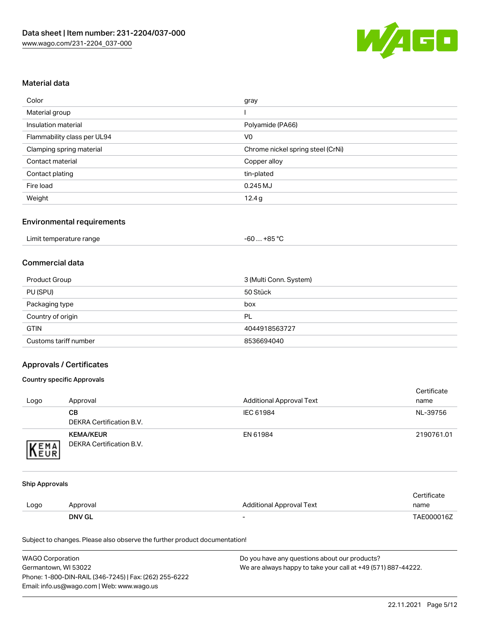

# Material data

| Color                       | gray                              |
|-----------------------------|-----------------------------------|
| Material group              |                                   |
| Insulation material         | Polyamide (PA66)                  |
| Flammability class per UL94 | V <sub>0</sub>                    |
| Clamping spring material    | Chrome nickel spring steel (CrNi) |
| Contact material            | Copper alloy                      |
| Contact plating             | tin-plated                        |
| Fire load                   | $0.245$ MJ                        |
| Weight                      | 12.4g                             |

#### Environmental requirements

| Limit temperature range | +85 °C |
|-------------------------|--------|
|                         | -60    |

# Commercial data

| <b>Product Group</b>  | 3 (Multi Conn. System) |
|-----------------------|------------------------|
| PU (SPU)              | 50 Stück               |
| Packaging type        | box                    |
| Country of origin     | PL                     |
| <b>GTIN</b>           | 4044918563727          |
| Customs tariff number | 8536694040             |

# Approvals / Certificates

#### Country specific Approvals

| Logo | Approval                                     | <b>Additional Approval Text</b> | Certificate<br>name |
|------|----------------------------------------------|---------------------------------|---------------------|
|      | CВ<br>DEKRA Certification B.V.               | IEC 61984                       | NL-39756            |
| EMA  | <b>KEMA/KEUR</b><br>DEKRA Certification B.V. | EN 61984                        | 2190761.01          |

#### Ship Approvals

|      | <b>DNV GL</b> | $\overline{\phantom{0}}$ | TAE000016Z  |
|------|---------------|--------------------------|-------------|
| Logo | Approval      | Additional Approval Text | name        |
|      |               |                          | Certificate |

Subject to changes. Please also observe the further product documentation!

| <b>WAGO Corporation</b>                                | Do you have any questions about our products?                 |
|--------------------------------------------------------|---------------------------------------------------------------|
| Germantown, WI 53022                                   | We are always happy to take your call at +49 (571) 887-44222. |
| Phone: 1-800-DIN-RAIL (346-7245)   Fax: (262) 255-6222 |                                                               |
| Email: info.us@wago.com   Web: www.wago.us             |                                                               |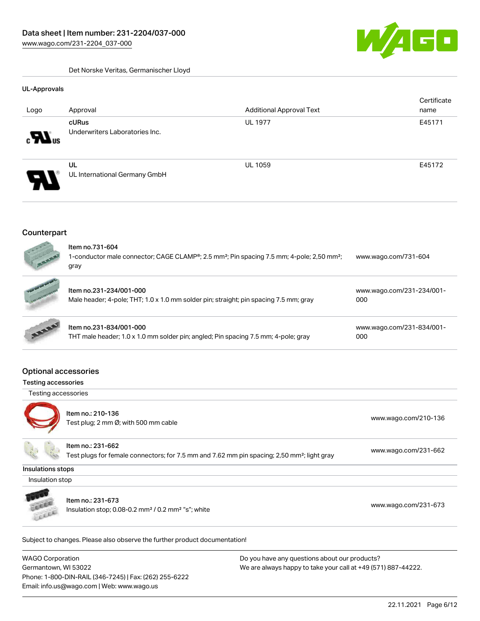$\overline{\phantom{a}}$ 

Det Norske Veritas, Germanischer Lloyd

#### UL-Approvals

| Logo                             | Approval                                | <b>Additional Approval Text</b> | Certificate<br>name |
|----------------------------------|-----------------------------------------|---------------------------------|---------------------|
| $_{\rm c}$ $\mathbf{W}_{\rm us}$ | cURus<br>Underwriters Laboratories Inc. | <b>UL 1977</b>                  | E45171              |
| $\boldsymbol{\mathcal{A}}$<br>77 | UL<br>UL International Germany GmbH     | <b>UL 1059</b>                  | E45172              |

#### **Counterpart**



|                  | Item no.231-234/001-000<br>Male header; 4-pole; THT; 1.0 x 1.0 mm solder pin; straight; pin spacing 7.5 mm; gray | www.wago.com/231-234/001-<br>000      |
|------------------|------------------------------------------------------------------------------------------------------------------|---------------------------------------|
| <b>AND READY</b> | Item no.231-834/001-000<br>$-1$<br>.                                                                             | www.wago.com/231-834/001-<br>$\cdots$ |

| THT male header; 1.0 x 1.0 mm solder pin; angled; Pin spacing 7.5 mm; 4-pole; gray |  |
|------------------------------------------------------------------------------------|--|
|                                                                                    |  |

[000](https://www.wago.com/231-834/001-000)

# Optional accessories

#### Testing accessories

Testing accessories



Item no.: 210-136 Test plug; 2 no-130<br>Test plug; 2 mm Ø; with 500 mm cable [www.wago.com/210-136](http://www.wago.com/210-136)



Item no.: 231-662

Test plugs for female connectors; for 7.5 mm and 7.62 mm pin spacing; 2,50 mm²; light gray [www.wago.com/231-662](http://www.wago.com/231-662)

Insulations stops

Insulation stop



Item no.: 231-673

Insulation stop; 0.08-0.2 mm<sup>2</sup> / 0.2 mm<sup>2</sup> "s"; white [www.wago.com/231-673](http://www.wago.com/231-673) www.wago.com/231-673

Subject to changes. Please also observe the further product documentation!

WAGO Corporation Germantown, WI 53022 Phone: 1-800-DIN-RAIL (346-7245) | Fax: (262) 255-6222 Email: info.us@wago.com | Web: www.wago.us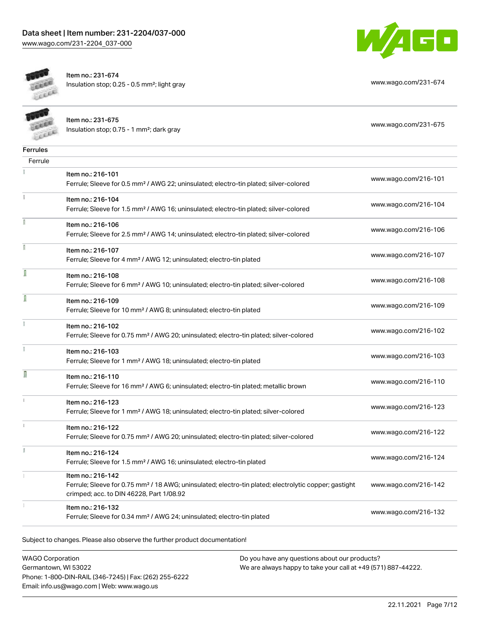



 $\rightarrow$ 

Item no.: 231-674 Insulation stop; 0.25 - 0.5 mm²; light gray [www.wago.com/231-674](http://www.wago.com/231-674)

| <b>CELLER</b> | Item no.: 231-675<br>Insulation stop; 0.75 - 1 mm <sup>2</sup> ; dark gray                                                                                                         | www.wago.com/231-675 |
|---------------|------------------------------------------------------------------------------------------------------------------------------------------------------------------------------------|----------------------|
| Ferrules      |                                                                                                                                                                                    |                      |
| Ferrule       |                                                                                                                                                                                    |                      |
|               | Item no.: 216-101<br>Ferrule; Sleeve for 0.5 mm <sup>2</sup> / AWG 22; uninsulated; electro-tin plated; silver-colored                                                             | www.wago.com/216-101 |
|               | Item no.: 216-104<br>Ferrule; Sleeve for 1.5 mm <sup>2</sup> / AWG 16; uninsulated; electro-tin plated; silver-colored                                                             | www.wago.com/216-104 |
|               | Item no.: 216-106<br>Ferrule; Sleeve for 2.5 mm <sup>2</sup> / AWG 14; uninsulated; electro-tin plated; silver-colored                                                             | www.wago.com/216-106 |
|               | Item no.: 216-107<br>Ferrule; Sleeve for 4 mm <sup>2</sup> / AWG 12; uninsulated; electro-tin plated                                                                               | www.wago.com/216-107 |
|               | Item no.: 216-108<br>Ferrule; Sleeve for 6 mm <sup>2</sup> / AWG 10; uninsulated; electro-tin plated; silver-colored                                                               | www.wago.com/216-108 |
|               | Item no.: 216-109<br>Ferrule; Sleeve for 10 mm <sup>2</sup> / AWG 8; uninsulated; electro-tin plated                                                                               | www.wago.com/216-109 |
|               | Item no.: 216-102<br>Ferrule; Sleeve for 0.75 mm <sup>2</sup> / AWG 20; uninsulated; electro-tin plated; silver-colored                                                            | www.wago.com/216-102 |
|               | Item no.: 216-103<br>Ferrule; Sleeve for 1 mm <sup>2</sup> / AWG 18; uninsulated; electro-tin plated                                                                               | www.wago.com/216-103 |
| Ī             | Item no.: 216-110<br>Ferrule; Sleeve for 16 mm <sup>2</sup> / AWG 6; uninsulated; electro-tin plated; metallic brown                                                               | www.wago.com/216-110 |
|               | Item no.: 216-123<br>Ferrule; Sleeve for 1 mm <sup>2</sup> / AWG 18; uninsulated; electro-tin plated; silver-colored                                                               | www.wago.com/216-123 |
|               | Item no.: 216-122<br>Ferrule; Sleeve for 0.75 mm <sup>2</sup> / AWG 20; uninsulated; electro-tin plated; silver-colored                                                            | www.wago.com/216-122 |
|               | Item no.: 216-124<br>Ferrule; Sleeve for 1.5 mm <sup>2</sup> / AWG 16; uninsulated; electro-tin plated                                                                             | www.wago.com/216-124 |
|               | Item no.: 216-142<br>Ferrule; Sleeve for 0.75 mm <sup>2</sup> / 18 AWG; uninsulated; electro-tin plated; electrolytic copper; gastight<br>crimped; acc. to DIN 46228, Part 1/08.92 | www.wago.com/216-142 |
|               | Item no.: 216-132<br>Ferrule; Sleeve for 0.34 mm <sup>2</sup> / AWG 24; uninsulated; electro-tin plated                                                                            | www.wago.com/216-132 |

Subject to changes. Please also observe the further product documentation!

WAGO Corporation Germantown, WI 53022 Phone: 1-800-DIN-RAIL (346-7245) | Fax: (262) 255-6222 Email: info.us@wago.com | Web: www.wago.us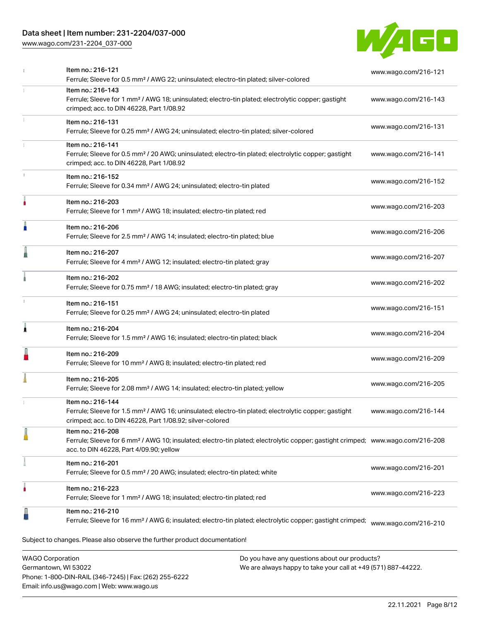# Data sheet | Item number: 231-2204/037-000

[www.wago.com/231-2204\\_037-000](http://www.wago.com/231-2204_037-000)



|   | Item no.: 216-121<br>Ferrule; Sleeve for 0.5 mm <sup>2</sup> / AWG 22; uninsulated; electro-tin plated; silver-colored                                                                                                   | www.wago.com/216-121 |
|---|--------------------------------------------------------------------------------------------------------------------------------------------------------------------------------------------------------------------------|----------------------|
|   | Item no.: 216-143<br>Ferrule; Sleeve for 1 mm <sup>2</sup> / AWG 18; uninsulated; electro-tin plated; electrolytic copper; gastight<br>crimped; acc. to DIN 46228, Part 1/08.92                                          | www.wago.com/216-143 |
|   | Item no.: 216-131<br>Ferrule; Sleeve for 0.25 mm <sup>2</sup> / AWG 24; uninsulated; electro-tin plated; silver-colored                                                                                                  | www.wago.com/216-131 |
|   | Item no.: 216-141<br>Ferrule; Sleeve for 0.5 mm <sup>2</sup> / 20 AWG; uninsulated; electro-tin plated; electrolytic copper; gastight<br>crimped; acc. to DIN 46228, Part 1/08.92                                        | www.wago.com/216-141 |
|   | Item no.: 216-152<br>Ferrule; Sleeve for 0.34 mm <sup>2</sup> / AWG 24; uninsulated; electro-tin plated                                                                                                                  | www.wago.com/216-152 |
|   | Item no.: 216-203<br>Ferrule; Sleeve for 1 mm <sup>2</sup> / AWG 18; insulated; electro-tin plated; red                                                                                                                  | www.wago.com/216-203 |
| Ä | Item no.: 216-206<br>Ferrule; Sleeve for 2.5 mm <sup>2</sup> / AWG 14; insulated; electro-tin plated; blue                                                                                                               | www.wago.com/216-206 |
|   | Item no.: 216-207<br>Ferrule; Sleeve for 4 mm <sup>2</sup> / AWG 12; insulated; electro-tin plated; gray                                                                                                                 | www.wago.com/216-207 |
|   | Item no.: 216-202<br>Ferrule; Sleeve for 0.75 mm <sup>2</sup> / 18 AWG; insulated; electro-tin plated; gray                                                                                                              | www.wago.com/216-202 |
|   | Item no.: 216-151<br>Ferrule; Sleeve for 0.25 mm <sup>2</sup> / AWG 24; uninsulated; electro-tin plated                                                                                                                  | www.wago.com/216-151 |
| À | Item no.: 216-204<br>Ferrule; Sleeve for 1.5 mm <sup>2</sup> / AWG 16; insulated; electro-tin plated; black                                                                                                              | www.wago.com/216-204 |
|   | Item no.: 216-209<br>Ferrule; Sleeve for 10 mm <sup>2</sup> / AWG 8; insulated; electro-tin plated; red                                                                                                                  | www.wago.com/216-209 |
|   | Item no.: 216-205<br>Ferrule; Sleeve for 2.08 mm <sup>2</sup> / AWG 14; insulated; electro-tin plated; yellow                                                                                                            | www.wago.com/216-205 |
|   | Item no.: 216-144<br>Ferrule; Sleeve for 1.5 mm <sup>2</sup> / AWG 16; uninsulated; electro-tin plated; electrolytic copper; gastight<br>crimped; acc. to DIN 46228, Part 1/08.92; silver-colored                        | www.wago.com/216-144 |
|   | Item no.: 216-208<br>Ferrule; Sleeve for 6 mm <sup>2</sup> / AWG 10; insulated; electro-tin plated; electrolytic copper; gastight crimped; www.wago.com/216-208<br>acc. to DIN 46228, Part 4/09.90; yellow               |                      |
|   | Item no.: 216-201<br>Ferrule; Sleeve for 0.5 mm <sup>2</sup> / 20 AWG; insulated; electro-tin plated; white                                                                                                              | www.wago.com/216-201 |
|   | Item no.: 216-223<br>Ferrule; Sleeve for 1 mm <sup>2</sup> / AWG 18; insulated; electro-tin plated; red                                                                                                                  | www.wago.com/216-223 |
|   | Item no.: 216-210<br>Ferrule; Sleeve for 16 mm <sup>2</sup> / AWG 6; insulated; electro-tin plated; electrolytic copper; gastight crimped;<br>Subject to changes. Please also observe the further product documentation! | www.wago.com/216-210 |
|   |                                                                                                                                                                                                                          |                      |

WAGO Corporation Germantown, WI 53022 Phone: 1-800-DIN-RAIL (346-7245) | Fax: (262) 255-6222 Email: info.us@wago.com | Web: www.wago.us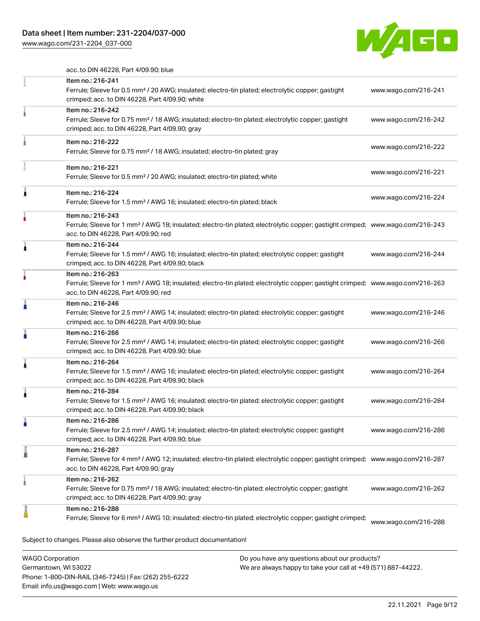[www.wago.com/231-2204\\_037-000](http://www.wago.com/231-2204_037-000)



acc. to DIN 46228, Part 4/09.90; blue

|   | Item no.: 216-241<br>Ferrule; Sleeve for 0.5 mm <sup>2</sup> / 20 AWG; insulated; electro-tin plated; electrolytic copper; gastight<br>crimped; acc. to DIN 46228, Part 4/09.90; white                   | www.wago.com/216-241 |
|---|----------------------------------------------------------------------------------------------------------------------------------------------------------------------------------------------------------|----------------------|
|   | Item no.: 216-242<br>Ferrule; Sleeve for 0.75 mm <sup>2</sup> / 18 AWG; insulated; electro-tin plated; electrolytic copper; gastight<br>crimped; acc. to DIN 46228, Part 4/09.90; gray                   | www.wago.com/216-242 |
|   | Item no.: 216-222<br>Ferrule; Sleeve for 0.75 mm <sup>2</sup> / 18 AWG; insulated; electro-tin plated; gray                                                                                              | www.wago.com/216-222 |
|   | Item no.: 216-221<br>Ferrule; Sleeve for 0.5 mm <sup>2</sup> / 20 AWG; insulated; electro-tin plated; white                                                                                              | www.wago.com/216-221 |
| 1 | Item no.: 216-224<br>Ferrule; Sleeve for 1.5 mm <sup>2</sup> / AWG 16; insulated; electro-tin plated; black                                                                                              | www.wago.com/216-224 |
|   | Item no.: 216-243<br>Ferrule; Sleeve for 1 mm <sup>2</sup> / AWG 18; insulated; electro-tin plated; electrolytic copper; gastight crimped; www.wago.com/216-243<br>acc. to DIN 46228, Part 4/09.90; red  |                      |
| Â | Item no.: 216-244<br>Ferrule; Sleeve for 1.5 mm <sup>2</sup> / AWG 16; insulated; electro-tin plated; electrolytic copper; gastight<br>crimped; acc. to DIN 46228, Part 4/09.90; black                   | www.wago.com/216-244 |
|   | Item no.: 216-263<br>Ferrule; Sleeve for 1 mm <sup>2</sup> / AWG 18; insulated; electro-tin plated; electrolytic copper; gastight crimped; www.wago.com/216-263<br>acc. to DIN 46228, Part 4/09.90; red  |                      |
| n | Item no.: 216-246<br>Ferrule; Sleeve for 2.5 mm <sup>2</sup> / AWG 14; insulated; electro-tin plated; electrolytic copper; gastight<br>crimped; acc. to DIN 46228, Part 4/09.90; blue                    | www.wago.com/216-246 |
|   | Item no.: 216-266<br>Ferrule; Sleeve for 2.5 mm <sup>2</sup> / AWG 14; insulated; electro-tin plated; electrolytic copper; gastight<br>crimped; acc. to DIN 46228, Part 4/09.90; blue                    | www.wago.com/216-266 |
| Â | Item no.: 216-264<br>Ferrule; Sleeve for 1.5 mm <sup>2</sup> / AWG 16; insulated; electro-tin plated; electrolytic copper; gastight<br>crimped; acc. to DIN 46228, Part 4/09.90; black                   | www.wago.com/216-264 |
| ۸ | Item no.: 216-284<br>Ferrule; Sleeve for 1.5 mm <sup>2</sup> / AWG 16; insulated; electro-tin plated; electrolytic copper; gastight<br>crimped; acc. to DIN 46228, Part 4/09.90; black                   | www.wago.com/216-284 |
|   | Item no.: 216-286<br>Ferrule; Sleeve for 2.5 mm <sup>2</sup> / AWG 14; insulated; electro-tin plated; electrolytic copper; gastight<br>crimped; acc. to DIN 46228, Part 4/09.90; blue                    | www.wago.com/216-286 |
|   | Item no.: 216-287<br>Ferrule; Sleeve for 4 mm <sup>2</sup> / AWG 12; insulated; electro-tin plated; electrolytic copper; gastight crimped; www.wago.com/216-287<br>acc. to DIN 46228, Part 4/09.90; gray |                      |
|   | Item no.: 216-262<br>Ferrule; Sleeve for 0.75 mm <sup>2</sup> / 18 AWG; insulated; electro-tin plated; electrolytic copper; gastight<br>crimped; acc. to DIN 46228, Part 4/09.90; gray                   | www.wago.com/216-262 |
|   | Item no.: 216-288<br>Ferrule; Sleeve for 6 mm <sup>2</sup> / AWG 10; insulated; electro-tin plated; electrolytic copper; gastight crimped;                                                               | www.wago.com/216-288 |
|   | Subject to changes. Please also observe the further product documentation!                                                                                                                               |                      |

WAGO Corporation Germantown, WI 53022 Phone: 1-800-DIN-RAIL (346-7245) | Fax: (262) 255-6222 Email: info.us@wago.com | Web: www.wago.us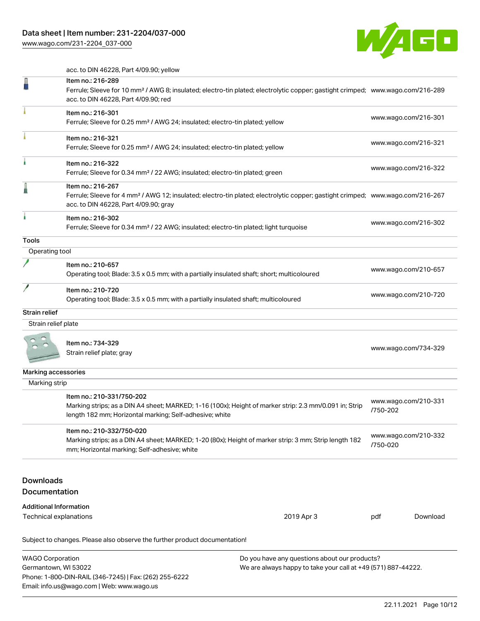# Data sheet | Item number: 231-2204/037-000

[www.wago.com/231-2204\\_037-000](http://www.wago.com/231-2204_037-000)

Email: info.us@wago.com | Web: www.wago.us



acc. to DIN 46228, Part 4/09.90; yellow

|                                                 | Ferrule; Sleeve for 10 mm <sup>2</sup> / AWG 8; insulated; electro-tin plated; electrolytic copper; gastight crimped; www.wago.com/216-289                                                               |                                                                                                                |          |                      |
|-------------------------------------------------|----------------------------------------------------------------------------------------------------------------------------------------------------------------------------------------------------------|----------------------------------------------------------------------------------------------------------------|----------|----------------------|
|                                                 | acc. to DIN 46228, Part 4/09.90; red                                                                                                                                                                     |                                                                                                                |          |                      |
|                                                 | Item no.: 216-301<br>Ferrule; Sleeve for 0.25 mm <sup>2</sup> / AWG 24; insulated; electro-tin plated; yellow                                                                                            |                                                                                                                |          | www.wago.com/216-301 |
|                                                 | Item no.: 216-321<br>Ferrule; Sleeve for 0.25 mm <sup>2</sup> / AWG 24; insulated; electro-tin plated; yellow                                                                                            |                                                                                                                |          | www.wago.com/216-321 |
|                                                 | Item no.: 216-322<br>Ferrule; Sleeve for 0.34 mm <sup>2</sup> / 22 AWG; insulated; electro-tin plated; green                                                                                             |                                                                                                                |          | www.wago.com/216-322 |
|                                                 | Item no.: 216-267<br>Ferrule; Sleeve for 4 mm <sup>2</sup> / AWG 12; insulated; electro-tin plated; electrolytic copper; gastight crimped; www.wago.com/216-267<br>acc. to DIN 46228, Part 4/09.90; gray |                                                                                                                |          |                      |
|                                                 | Item no.: 216-302<br>Ferrule; Sleeve for 0.34 mm <sup>2</sup> / 22 AWG; insulated; electro-tin plated; light turquoise                                                                                   |                                                                                                                |          | www.wago.com/216-302 |
| Tools                                           |                                                                                                                                                                                                          |                                                                                                                |          |                      |
| Operating tool                                  |                                                                                                                                                                                                          |                                                                                                                |          |                      |
|                                                 | Item no.: 210-657<br>Operating tool; Blade: 3.5 x 0.5 mm; with a partially insulated shaft; short; multicoloured                                                                                         |                                                                                                                |          | www.wago.com/210-657 |
|                                                 | Item no.: 210-720<br>Operating tool; Blade: 3.5 x 0.5 mm; with a partially insulated shaft; multicoloured                                                                                                |                                                                                                                |          | www.wago.com/210-720 |
| Strain relief                                   |                                                                                                                                                                                                          |                                                                                                                |          |                      |
| Strain relief plate                             |                                                                                                                                                                                                          |                                                                                                                |          |                      |
|                                                 | Item no.: 734-329<br>Strain relief plate; gray                                                                                                                                                           | www.wago.com/734-329                                                                                           |          |                      |
| Marking accessories                             |                                                                                                                                                                                                          |                                                                                                                |          |                      |
| Marking strip                                   |                                                                                                                                                                                                          |                                                                                                                |          |                      |
|                                                 | Item no.: 210-331/750-202<br>Marking strips; as a DIN A4 sheet; MARKED; 1-16 (100x); Height of marker strip: 2.3 mm/0.091 in; Strip<br>length 182 mm; Horizontal marking; Self-adhesive; white           |                                                                                                                | /750-202 | www.wago.com/210-331 |
|                                                 | Item no.: 210-332/750-020<br>Marking strips; as a DIN A4 sheet; MARKED; 1-20 (80x); Height of marker strip: 3 mm; Strip length 182<br>mm; Horizontal marking; Self-adhesive; white                       |                                                                                                                | /750-020 | www.wago.com/210-332 |
| <b>Downloads</b><br>Documentation               |                                                                                                                                                                                                          |                                                                                                                |          |                      |
| <b>Additional Information</b>                   |                                                                                                                                                                                                          |                                                                                                                |          |                      |
| Technical explanations                          |                                                                                                                                                                                                          | 2019 Apr 3                                                                                                     | pdf      | Download             |
|                                                 | Subject to changes. Please also observe the further product documentation!                                                                                                                               |                                                                                                                |          |                      |
| <b>WAGO Corporation</b><br>Germantown, WI 53022 | Phone: 1-800-DIN-RAIL (346-7245)   Fax: (262) 255-6222                                                                                                                                                   | Do you have any questions about our products?<br>We are always happy to take your call at +49 (571) 887-44222. |          |                      |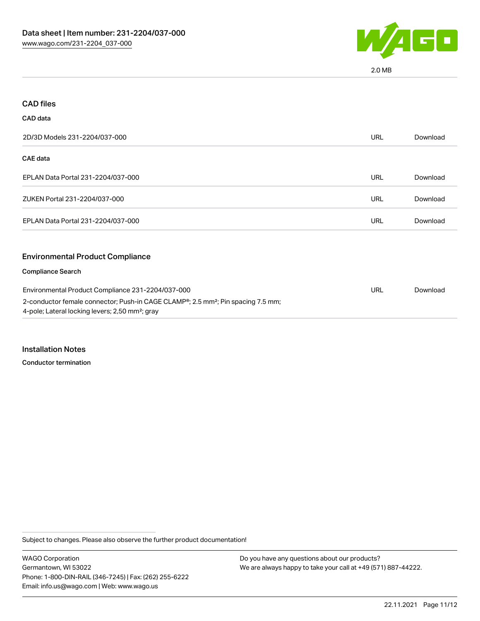

2.0 MB

| <b>CAD files</b>                                                                                                                                            |            |          |
|-------------------------------------------------------------------------------------------------------------------------------------------------------------|------------|----------|
| CAD data                                                                                                                                                    |            |          |
| 2D/3D Models 231-2204/037-000                                                                                                                               | <b>URL</b> | Download |
| <b>CAE data</b>                                                                                                                                             |            |          |
| EPLAN Data Portal 231-2204/037-000                                                                                                                          | URL        | Download |
| ZUKEN Portal 231-2204/037-000                                                                                                                               | <b>URL</b> | Download |
| EPLAN Data Portal 231-2204/037-000                                                                                                                          | <b>URL</b> | Download |
| <b>Environmental Product Compliance</b>                                                                                                                     |            |          |
| <b>Compliance Search</b>                                                                                                                                    |            |          |
| Environmental Product Compliance 231-2204/037-000                                                                                                           | <b>URL</b> | Download |
| 2-conductor female connector; Push-in CAGE CLAMP®; 2.5 mm <sup>2</sup> ; Pin spacing 7.5 mm;<br>4-pole; Lateral locking levers; 2,50 mm <sup>2</sup> ; gray |            |          |

Installation Notes

Conductor termination

Subject to changes. Please also observe the further product documentation!

WAGO Corporation Germantown, WI 53022 Phone: 1-800-DIN-RAIL (346-7245) | Fax: (262) 255-6222 Email: info.us@wago.com | Web: www.wago.us